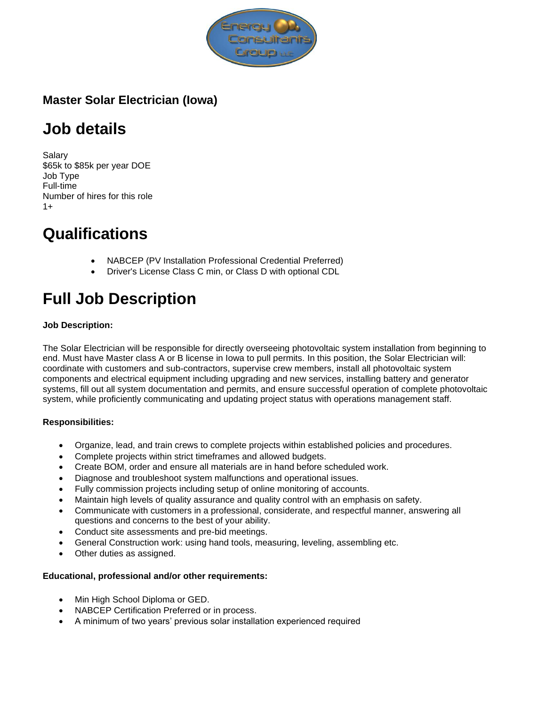

# **Master Solar Electrician (Iowa)**

# **Job details**

Salary \$65k to \$85k per year DOE Job Type Full-time Number of hires for this role  $1+$ 

# **Qualifications**

- NABCEP (PV Installation Professional Credential Preferred)
- Driver's License Class C min, or Class D with optional CDL

# **Full Job Description**

# **Job Description:**

The Solar Electrician will be responsible for directly overseeing photovoltaic system installation from beginning to end. Must have Master class A or B license in Iowa to pull permits. In this position, the Solar Electrician will: coordinate with customers and sub-contractors, supervise crew members, install all photovoltaic system components and electrical equipment including upgrading and new services, installing battery and generator systems, fill out all system documentation and permits, and ensure successful operation of complete photovoltaic system, while proficiently communicating and updating project status with operations management staff.

# **Responsibilities:**

- Organize, lead, and train crews to complete projects within established policies and procedures.
- Complete projects within strict timeframes and allowed budgets.
- Create BOM, order and ensure all materials are in hand before scheduled work.
- Diagnose and troubleshoot system malfunctions and operational issues.
- Fully commission projects including setup of online monitoring of accounts.
- Maintain high levels of quality assurance and quality control with an emphasis on safety.
- Communicate with customers in a professional, considerate, and respectful manner, answering all questions and concerns to the best of your ability.
- Conduct site assessments and pre-bid meetings.
- General Construction work: using hand tools, measuring, leveling, assembling etc.
- Other duties as assigned.

# **Educational, professional and/or other requirements:**

- Min High School Diploma or GED.
- NABCEP Certification Preferred or in process.
- A minimum of two years' previous solar installation experienced required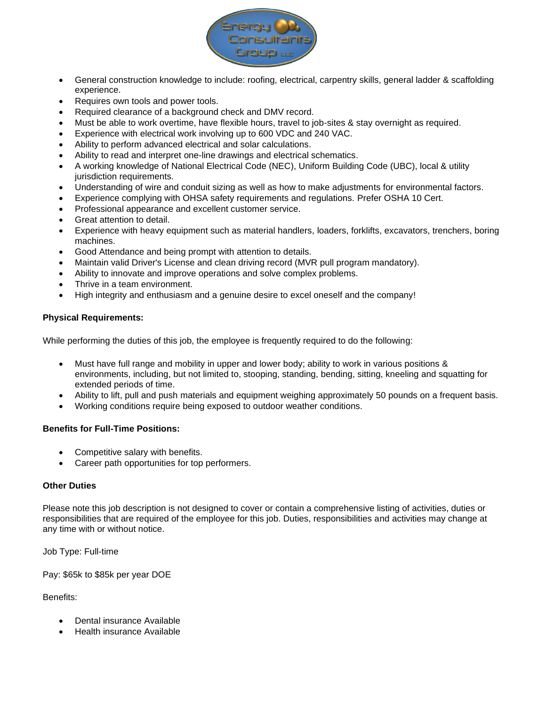

- General construction knowledge to include: roofing, electrical, carpentry skills, general ladder & scaffolding experience.
- Requires own tools and power tools.
- Required clearance of a background check and DMV record.
- Must be able to work overtime, have flexible hours, travel to job-sites & stay overnight as required.
- Experience with electrical work involving up to 600 VDC and 240 VAC.
- Ability to perform advanced electrical and solar calculations.
- Ability to read and interpret one-line drawings and electrical schematics.
- A working knowledge of National Electrical Code (NEC), Uniform Building Code (UBC), local & utility jurisdiction requirements.
- Understanding of wire and conduit sizing as well as how to make adjustments for environmental factors.
- Experience complying with OHSA safety requirements and regulations. Prefer OSHA 10 Cert.
- Professional appearance and excellent customer service.
- Great attention to detail.
- Experience with heavy equipment such as material handlers, loaders, forklifts, excavators, trenchers, boring machines.
- Good Attendance and being prompt with attention to details.
- Maintain valid Driver's License and clean driving record (MVR pull program mandatory).
- Ability to innovate and improve operations and solve complex problems.
- Thrive in a team environment.
- High integrity and enthusiasm and a genuine desire to excel oneself and the company!

#### **Physical Requirements:**

While performing the duties of this job, the employee is frequently required to do the following:

- Must have full range and mobility in upper and lower body; ability to work in various positions & environments, including, but not limited to, stooping, standing, bending, sitting, kneeling and squatting for extended periods of time.
- Ability to lift, pull and push materials and equipment weighing approximately 50 pounds on a frequent basis.
- Working conditions require being exposed to outdoor weather conditions.

#### **Benefits for Full-Time Positions:**

- Competitive salary with benefits.
- Career path opportunities for top performers.

### **Other Duties**

Please note this job description is not designed to cover or contain a comprehensive listing of activities, duties or responsibilities that are required of the employee for this job. Duties, responsibilities and activities may change at any time with or without notice.

Job Type: Full-time

Pay: \$65k to \$85k per year DOE

#### Benefits:

- Dental insurance Available
- Health insurance Available